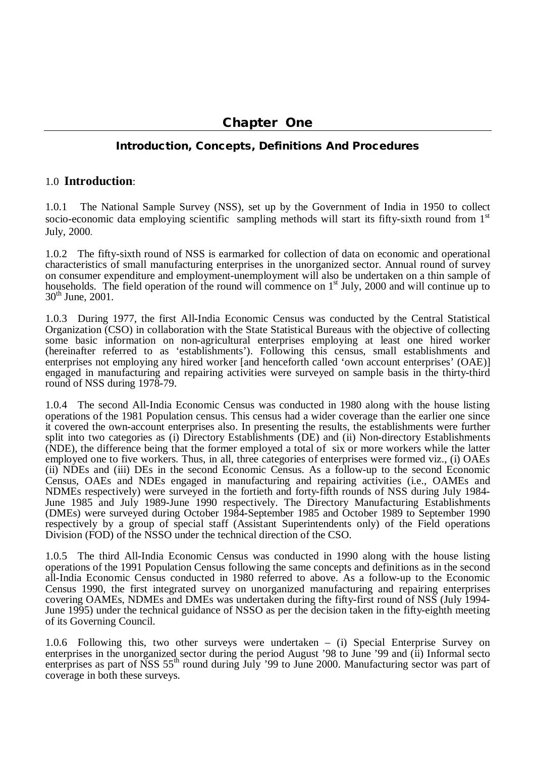# **Introduction, Concepts, Definitions And Procedures**

#### 1.0 **Introduction**:

1.0.1 The National Sample Survey (NSS), set up by the Government of India in 1950 to collect socio-economic data employing scientific sampling methods will start its fifty-sixth round from  $1<sup>st</sup>$ July, 2000.

1.0.2 The fifty-sixth round of NSS is earmarked for collection of data on economic and operational characteristics of small manufacturing enterprises in the unorganized sector. Annual round of survey on consumer expenditure and employment-unemployment will also be undertaken on a thin sample of households. The field operation of the round will commence on  $1<sup>st</sup>$  July, 2000 and will continue up to  $30^{th}$  June, 2001.

1.0.3 During 1977, the first All-India Economic Census was conducted by the Central Statistical Organization (CSO) in collaboration with the State Statistical Bureaus with the objective of collecting some basic information on non-agricultural enterprises employing at least one hired worker (hereinafter referred to as 'establishments'). Following this census, small establishments and enterprises not employing any hired worker [and henceforth called 'own account enterprises' (OAE)] engaged in manufacturing and repairing activities were surveyed on sample basis in the thirty-third round of NSS during 1978-79.

1.0.4 The second All-India Economic Census was conducted in 1980 along with the house listing operations of the 1981 Population census. This census had a wider coverage than the earlier one since it covered the own-account enterprises also. In presenting the results, the establishments were further split into two categories as (i) Directory Establishments (DE) and (ii) Non-directory Establishments (NDE), the difference being that the former employed a total of six or more workers while the latter employed one to five workers. Thus, in all, three categories of enterprises were formed viz., (i) OAEs (ii) NDEs and (iii) DEs in the second Economic Census. As a follow-up to the second Economic Census, OAEs and NDEs engaged in manufacturing and repairing activities (i.e., OAMEs and NDMEs respectively) were surveyed in the fortieth and forty-fifth rounds of NSS during July 1984- June 1985 and July 1989-June 1990 respectively. The Directory Manufacturing Establishments (DMEs) were surveyed during October 1984-September 1985 and October 1989 to September 1990 respectively by a group of special staff (Assistant Superintendents only) of the Field operations Division (FOD) of the NSSO under the technical direction of the CSO.

1.0.5 The third All-India Economic Census was conducted in 1990 along with the house listing operations of the 1991 Population Census following the same concepts and definitions as in the second all-India Economic Census conducted in 1980 referred to above. As a follow-up to the Economic Census 1990, the first integrated survey on unorganized manufacturing and repairing enterprises covering OAMEs, NDMEs and DMEs was undertaken during the fifty-first round of NSS (July 1994- June 1995) under the technical guidance of NSSO as per the decision taken in the fifty-eighth meeting of its Governing Council.

1.0.6 Following this, two other surveys were undertaken – (i) Special Enterprise Survey on enterprises in the unorganized sector during the period August '98 to June '99 and (ii) Informal secto enterprises as part of NSS 55<sup>th</sup> round during July '99 to June 2000. Manufacturing sector was part of coverage in both these surveys.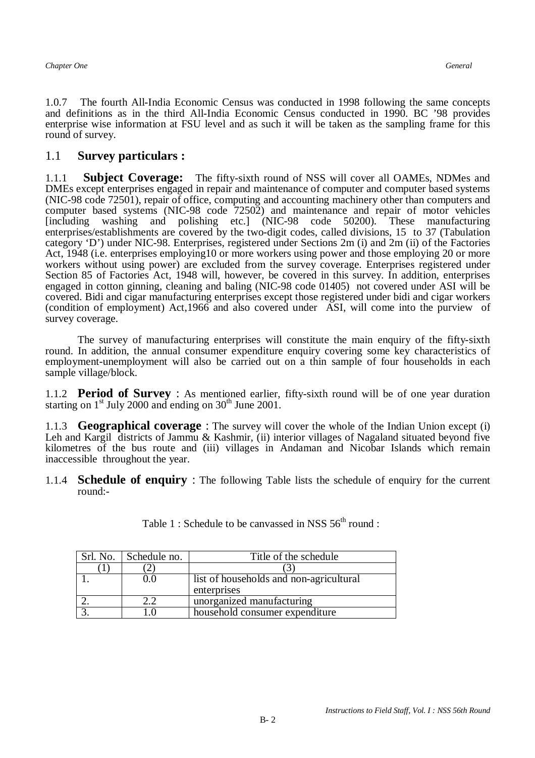1.0.7 The fourth All-India Economic Census was conducted in 1998 following the same concepts and definitions as in the third All-India Economic Census conducted in 1990. BC '98 provides enterprise wise information at FSU level and as such it will be taken as the sampling frame for this round of survey.

## 1.1 **Survey particulars :**

1.1.1 **Subject Coverage:** The fifty-sixth round of NSS will cover all OAMEs, NDMes and DMEs except enterprises engaged in repair and maintenance of computer and computer based systems (NIC-98 code 72501), repair of office, computing and accounting machinery other than computers and computer based systems (NIC-98 code 72502) and maintenance and repair of motor vehicles [including washing and polishing etc.] (NIC-98 code 50200). These manufacturing enterprises/establishments are covered by the two-digit codes, called divisions, 15 to 37 (Tabulation category 'D') under NIC-98. Enterprises, registered under Sections 2m (i) and 2m (ii) of the Factories Act, 1948 (i.e. enterprises employing10 or more workers using power and those employing 20 or more workers without using power) are excluded from the survey coverage. Enterprises registered under Section 85 of Factories Act, 1948 will, however, be covered in this survey. In addition, enterprises engaged in cotton ginning, cleaning and baling (NIC-98 code 01405) not covered under ASI will be covered. Bidi and cigar manufacturing enterprises except those registered under bidi and cigar workers (condition of employment) Act,1966 and also covered under ASI, will come into the purview of survey coverage.

The survey of manufacturing enterprises will constitute the main enquiry of the fifty-sixth round. In addition, the annual consumer expenditure enquiry covering some key characteristics of employment-unemployment will also be carried out on a thin sample of four households in each sample village/block.

1.1.2 **Period of Survey** : As mentioned earlier, fifty-sixth round will be of one year duration starting on  $1<sup>st</sup>$  July 2000 and ending on  $30<sup>th</sup>$  June 2001.

1.1.3 **Geographical coverage** : The survey will cover the whole of the Indian Union except (i) Leh and Kargil districts of Jammu & Kashmir, (ii) interior villages of Nagaland situated beyond five kilometres of the bus route and (iii) villages in Andaman and Nicobar Islands which remain inaccessible throughout the year.

1.1.4 **Schedule of enquiry** : The following Table lists the schedule of enquiry for the current round:-

| Srl. No. | Schedule no. | Title of the schedule                   |
|----------|--------------|-----------------------------------------|
|          |              |                                         |
|          |              | list of households and non-agricultural |
|          |              | enterprises                             |
|          |              | unorganized manufacturing               |
|          |              | household consumer expenditure          |

Table 1 : Schedule to be canvassed in NSS  $56<sup>th</sup>$  round :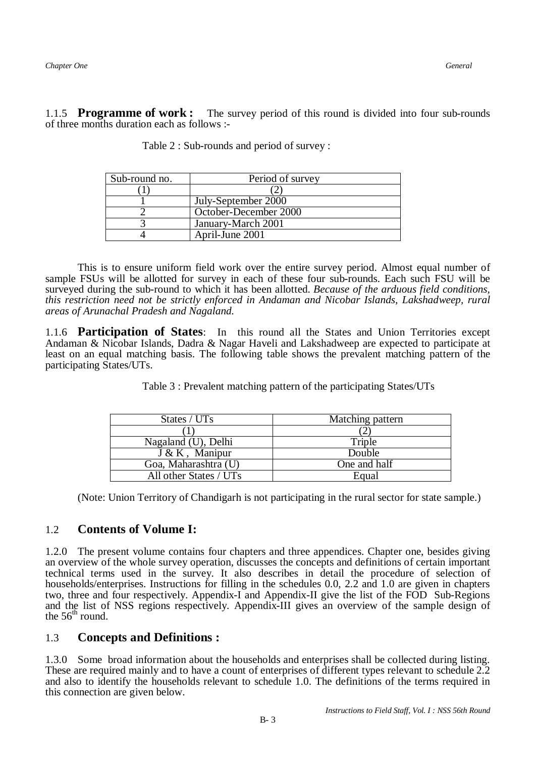1.1.5 **Programme of work :** The survey period of this round is divided into four sub-rounds of three months duration each as follows :-

| Sub-round no. | Period of survey      |
|---------------|-----------------------|
|               |                       |
|               | July-September 2000   |
|               | October-December 2000 |
|               | January-March 2001    |
|               | April-June 2001       |

Table 2 : Sub-rounds and period of survey :

This is to ensure uniform field work over the entire survey period. Almost equal number of sample FSUs will be allotted for survey in each of these four sub-rounds. Each such FSU will be surveyed during the sub-round to which it has been allotted. *Because of the arduous field conditions, this restriction need not be strictly enforced in Andaman and Nicobar Islands, Lakshadweep, rural areas of Arunachal Pradesh and Nagaland.*

1.1.6 **Participation of States**: In this round all the States and Union Territories except Andaman & Nicobar Islands, Dadra & Nagar Haveli and Lakshadweep are expected to participate at least on an equal matching basis. The following table shows the prevalent matching pattern of the participating States/UTs.

| States / UTs           | Matching pattern |
|------------------------|------------------|
|                        |                  |
| Nagaland (U), Delhi    | Triple           |
| $J & K$ , Manipur      | Double           |
| Goa, Maharashtra (U)   | One and half     |
| All other States / UTs | Equal            |

Table 3 : Prevalent matching pattern of the participating States/UTs

(Note: Union Territory of Chandigarh is not participating in the rural sector for state sample.)

## 1.2 **Contents of Volume I:**

1.2.0 The present volume contains four chapters and three appendices. Chapter one, besides giving an overview of the whole survey operation, discusses the concepts and definitions of certain important technical terms used in the survey. It also describes in detail the procedure of selection of households/enterprises. Instructions for filling in the schedules 0.0, 2.2 and 1.0 are given in chapters two, three and four respectively. Appendix-I and Appendix-II give the list of the FOD Sub-Regions and the list of NSS regions respectively. Appendix-III gives an overview of the sample design of the  $56<sup>th</sup>$  round.

## 1.3 **Concepts and Definitions :**

1.3.0 Some broad information about the households and enterprises shall be collected during listing. These are required mainly and to have a count of enterprises of different types relevant to schedule 2.2 and also to identify the households relevant to schedule 1.0. The definitions of the terms required in this connection are given below.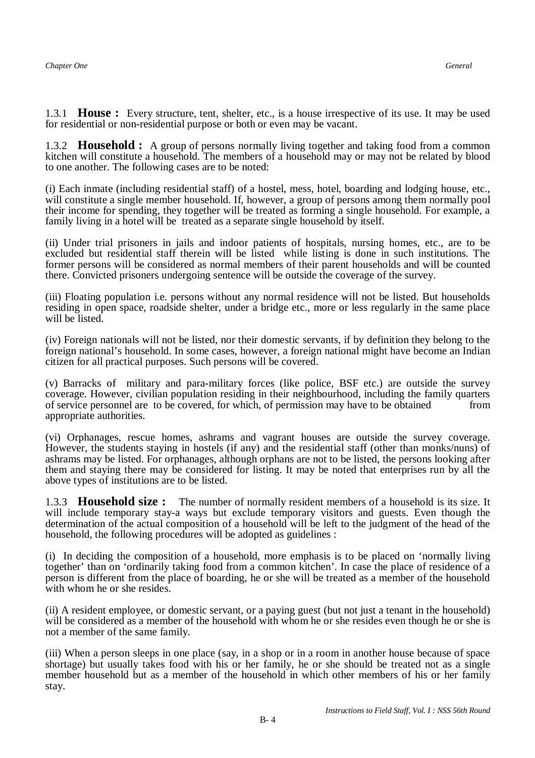1.3.1 **House :** Every structure, tent, shelter, etc., is a house irrespective of its use. It may be used for residential or non-residential purpose or both or even may be vacant.

1.3.2 **Household :** A group of persons normally living together and taking food from a common kitchen will constitute a household. The members of a household may or may not be related by blood to one another. The following cases are to be noted:

(i) Each inmate (including residential staff) of a hostel, mess, hotel, boarding and lodging house, etc., will constitute a single member household. If, however, a group of persons among them normally pool their income for spending, they together will be treated as forming a single household. For example, a family living in a hotel will be treated as a separate single household by itself.

(ii) Under trial prisoners in jails and indoor patients of hospitals, nursing homes, etc., are to be excluded but residential staff therein will be listed while listing is done in such institutions. The former persons will be considered as normal members of their parent households and will be counted there. Convicted prisoners undergoing sentence will be outside the coverage of the survey.

(iii) Floating population i.e. persons without any normal residence will not be listed. But households residing in open space, roadside shelter, under a bridge etc., more or less regularly in the same place will be listed.

(iv) Foreign nationals will not be listed, nor their domestic servants, if by definition they belong to the foreign national's household. In some cases, however, a foreign national might have become an Indian citizen for all practical purposes. Such persons will be covered.

(v) Barracks of military and para-military forces (like police, BSF etc.) are outside the survey coverage. However, civilian population residing in their neighbourhood, including the family quarters of service personnel are to be covered, for which, of permission may have to be obtained from appropriate authorities.

(vi) Orphanages, rescue homes, ashrams and vagrant houses are outside the survey coverage. However, the students staying in hostels (if any) and the residential staff (other than monks/nuns) of ashrams may be listed. For orphanages, although orphans are not to be listed, the persons looking after them and staying there may be considered for listing. It may be noted that enterprises run by all the above types of institutions are to be listed.

1.3.3 **Household size :** The number of normally resident members of a household is its size. It will include temporary stay-a ways but exclude temporary visitors and guests. Even though the determination of the actual composition of a household will be left to the judgment of the head of the household, the following procedures will be adopted as guidelines :

(i) In deciding the composition of a household, more emphasis is to be placed on 'normally living together' than on 'ordinarily taking food from a common kitchen'. In case the place of residence of a person is different from the place of boarding, he or she will be treated as a member of the household with whom he or she resides.

(ii) A resident employee, or domestic servant, or a paying guest (but not just a tenant in the household) will be considered as a member of the household with whom he or she resides even though he or she is not a member of the same family.

(iii) When a person sleeps in one place (say, in a shop or in a room in another house because of space shortage) but usually takes food with his or her family, he or she should be treated not as a single member household but as a member of the household in which other members of his or her family stay.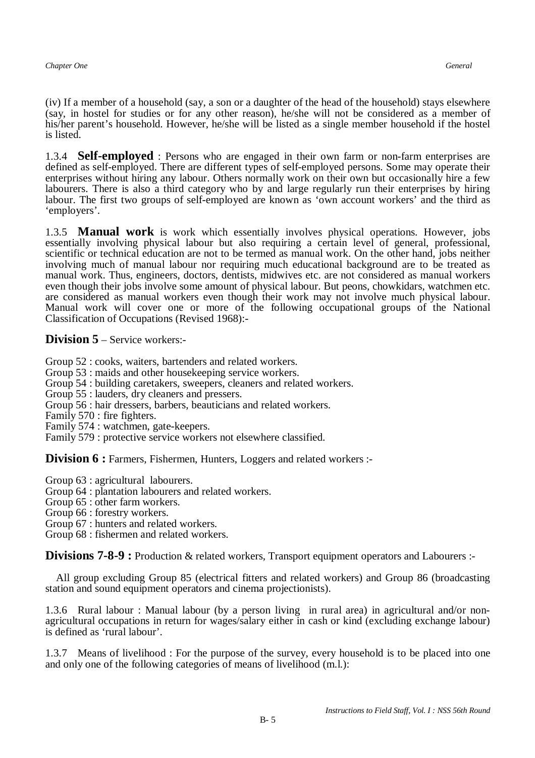(iv) If a member of a household (say, a son or a daughter of the head of the household) stays elsewhere (say, in hostel for studies or for any other reason), he/she will not be considered as a member of his/her parent's household. However, he/she will be listed as a single member household if the hostel is listed.

1.3.4 **Self-employed** : Persons who are engaged in their own farm or non-farm enterprises are defined as self-employed. There are different types of self-employed persons. Some may operate their enterprises without hiring any labour. Others normally work on their own but occasionally hire a few labourers. There is also a third category who by and large regularly run their enterprises by hiring labour. The first two groups of self-employed are known as 'own account workers' and the third as 'employers'.

1.3.5 **Manual work** is work which essentially involves physical operations. However, jobs essentially involving physical labour but also requiring a certain level of general, professional, scientific or technical education are not to be termed as manual work. On the other hand, jobs neither involving much of manual labour nor requiring much educational background are to be treated as manual work. Thus, engineers, doctors, dentists, midwives etc. are not considered as manual workers even though their jobs involve some amount of physical labour. But peons, chowkidars, watchmen etc. are considered as manual workers even though their work may not involve much physical labour. Manual work will cover one or more of the following occupational groups of the National Classification of Occupations (Revised 1968):-

**Division 5** – Service workers:-

Group 52 : cooks, waiters, bartenders and related workers.

- Group 53 : maids and other housekeeping service workers.
- Group 54 : building caretakers, sweepers, cleaners and related workers.
- Group 55 : lauders, dry cleaners and pressers.
- Group 56 : hair dressers, barbers, beauticians and related workers.
- Family 570 : fire fighters.
- Family 574 : watchmen, gate-keepers.
- Family 579 : protective service workers not elsewhere classified.

**Division 6 :** Farmers, Fishermen, Hunters, Loggers and related workers :-

Group 63 : agricultural labourers.

- Group 64 : plantation labourers and related workers.
- Group 65 : other farm workers.
- Group 66 : forestry workers.
- Group 67 : hunters and related workers.
- Group 68 : fishermen and related workers.

**Divisions 7-8-9 :** Production & related workers, Transport equipment operators and Labourers :-

 All group excluding Group 85 (electrical fitters and related workers) and Group 86 (broadcasting station and sound equipment operators and cinema projectionists).

1.3.6 Rural labour : Manual labour (by a person living in rural area) in agricultural and/or nonagricultural occupations in return for wages/salary either in cash or kind (excluding exchange labour) is defined as 'rural labour'.

1.3.7 Means of livelihood : For the purpose of the survey, every household is to be placed into one and only one of the following categories of means of livelihood (m.l.):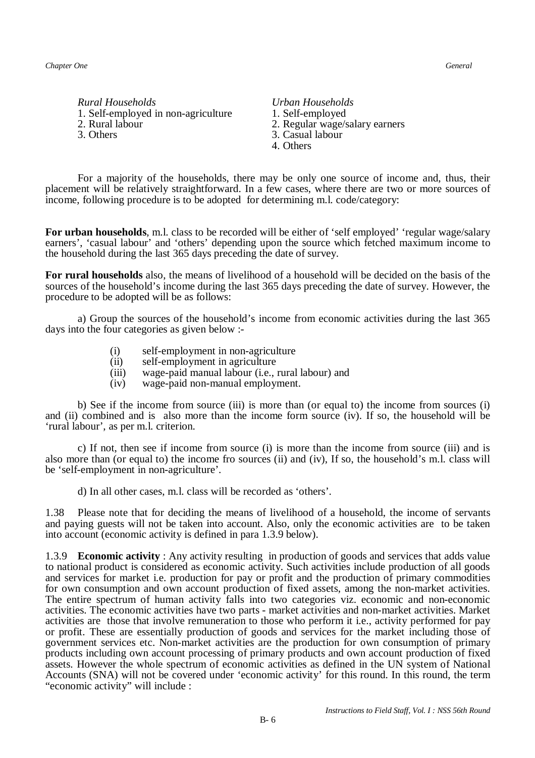- *Rural Households Urban Households*  1. Self-employed in non-agriculture 1. Self-employed<br>2. Rural labour 2. Regular wage/s
- 
- 2. Rural labour 2. Regular wage/salary earners<br>
3. Others<br>
3. Casual labour 3. Casual labour 4. Others

For a majority of the households, there may be only one source of income and, thus, their placement will be relatively straightforward. In a few cases, where there are two or more sources of income, following procedure is to be adopted for determining m.l. code/category:

**For urban households**, m.l. class to be recorded will be either of 'self employed' 'regular wage/salary earners', 'casual labour' and 'others' depending upon the source which fetched maximum income to the household during the last 365 days preceding the date of survey.

**For rural households** also, the means of livelihood of a household will be decided on the basis of the sources of the household's income during the last 365 days preceding the date of survey. However, the procedure to be adopted will be as follows:

a) Group the sources of the household's income from economic activities during the last 365 days into the four categories as given below :-

- (i) self-employment in non-agriculture
- (ii) self-employment in agriculture
- (iii) wage-paid manual labour (i.e., rural labour) and
- (iv) wage-paid non-manual employment.

b) See if the income from source (iii) is more than (or equal to) the income from sources (i) and (ii) combined and is also more than the income form source (iv). If so, the household will be 'rural labour', as per m.l. criterion.

c) If not, then see if income from source (i) is more than the income from source (iii) and is also more than (or equal to) the income fro sources (ii) and (iv), If so, the household's m.l. class will be 'self-employment in non-agriculture'.

d) In all other cases, m.l. class will be recorded as 'others'.

1.38 Please note that for deciding the means of livelihood of a household, the income of servants and paying guests will not be taken into account. Also, only the economic activities are to be taken into account (economic activity is defined in para 1.3.9 below).

1.3.9 **Economic activity** : Any activity resulting in production of goods and services that adds value to national product is considered as economic activity. Such activities include production of all goods and services for market i.e. production for pay or profit and the production of primary commodities for own consumption and own account production of fixed assets, among the non-market activities. The entire spectrum of human activity falls into two categories viz. economic and non-economic activities. The economic activities have two parts - market activities and non-market activities. Market activities are those that involve remuneration to those who perform it i.e., activity performed for pay or profit. These are essentially production of goods and services for the market including those of government services etc. Non-market activities are the production for own consumption of primary products including own account processing of primary products and own account production of fixed assets. However the whole spectrum of economic activities as defined in the UN system of National Accounts (SNA) will not be covered under 'economic activity' for this round. In this round, the term "economic activity" will include :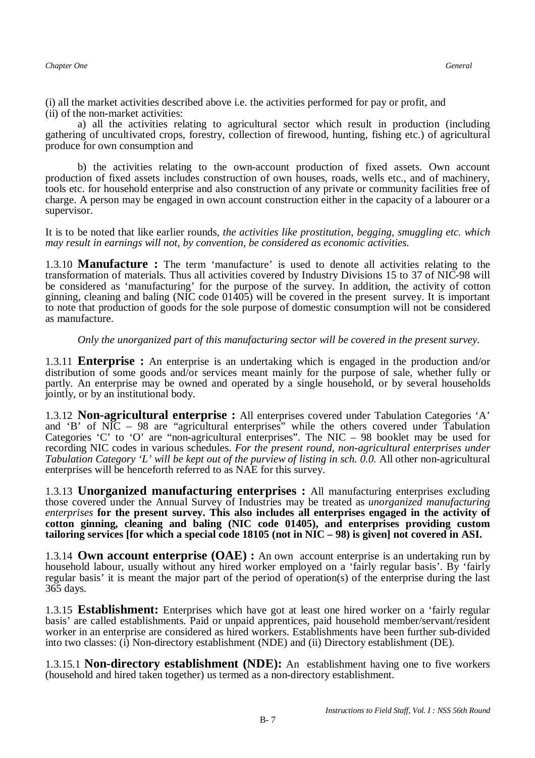(i) all the market activities described above i.e. the activities performed for pay or profit, and (ii) of the non-market activities:

a) all the activities relating to agricultural sector which result in production (including gathering of uncultivated crops, forestry, collection of firewood, hunting, fishing etc.) of agricultural produce for own consumption and

b) the activities relating to the own-account production of fixed assets. Own account production of fixed assets includes construction of own houses, roads, wells etc., and of machinery, tools etc. for household enterprise and also construction of any private or community facilities free of charge. A person may be engaged in own account construction either in the capacity of a labourer or a supervisor.

It is to be noted that like earlier rounds*, the activities like prostitution, begging, smuggling etc. which may result in earnings will not, by convention, be considered as economic activities.*

1.3.10 **Manufacture :** The term 'manufacture' is used to denote all activities relating to the transformation of materials. Thus all activities covered by Industry Divisions 15 to 37 of NIC-98 will be considered as 'manufacturing' for the purpose of the survey. In addition, the activity of cotton ginning, cleaning and baling (NIC code 01405) will be covered in the present survey. It is important to note that production of goods for the sole purpose of domestic consumption will not be considered as manufacture.

*Only the unorganized part of this manufacturing sector will be covered in the present survey.* 

1.3.11 **Enterprise :** An enterprise is an undertaking which is engaged in the production and/or distribution of some goods and/or services meant mainly for the purpose of sale, whether fully or partly. An enterprise may be owned and operated by a single household, or by several households jointly, or by an institutional body.

1.3.12 **Non-agricultural enterprise :** All enterprises covered under Tabulation Categories 'A' and 'B' of NIC – 98 are "agricultural enterprises" while the others covered under Tabulation Categories 'C' to 'O' are "non-agricultural enterprises". The NIC – 98 booklet may be used for recording NIC codes in various schedules. *For the present round, non-agricultural enterprises under Tabulation Category 'L' will be kept out of the purview of listing in sch. 0.0.* All other non-agricultural enterprises will be henceforth referred to as NAE for this survey.

1.3.13 **Unorganized manufacturing enterprises :** All manufacturing enterprises excluding those covered under the Annual Survey of Industries may be treated as *unorganized manufacturing enterprises* **for the present survey. This also includes all enterprises engaged in the activity of cotton ginning, cleaning and baling (NIC code 01405), and enterprises providing custom tailoring services [for which a special code 18105 (not in NIC – 98) is given] not covered in ASI.**

1.3.14 **Own account enterprise (OAE) :** An own account enterprise is an undertaking run by household labour, usually without any hired worker employed on a 'fairly regular basis'. By 'fairly regular basis' it is meant the major part of the period of operation(s) of the enterprise during the last 365 days.

1.3.15 **Establishment:** Enterprises which have got at least one hired worker on a 'fairly regular basis' are called establishments. Paid or unpaid apprentices, paid household member/servant/resident worker in an enterprise are considered as hired workers. Establishments have been further sub-divided into two classes: (i) Non-directory establishment (NDE) and (ii) Directory establishment (DE).

1.3.15.1 **Non-directory establishment (NDE):** An establishment having one to five workers (household and hired taken together) us termed as a non-directory establishment.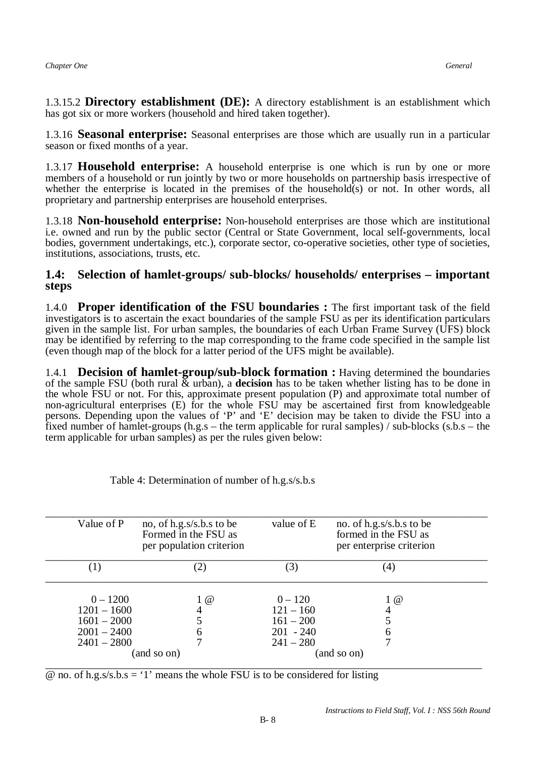1.3.15.2 **Directory establishment (DE):** A directory establishment is an establishment which has got six or more workers (household and hired taken together).

1.3.16 **Seasonal enterprise:** Seasonal enterprises are those which are usually run in a particular season or fixed months of a year.

1.3.17 **Household enterprise:** A household enterprise is one which is run by one or more members of a household or run jointly by two or more households on partnership basis irrespective of whether the enterprise is located in the premises of the household(s) or not. In other words, all proprietary and partnership enterprises are household enterprises.

1.3.18 **Non-household enterprise:** Non-household enterprises are those which are institutional i.e. owned and run by the public sector (Central or State Government, local self-governments, local bodies, government undertakings, etc.), corporate sector, co-operative societies, other type of societies, institutions, associations, trusts, etc.

#### **1.4: Selection of hamlet-groups/ sub-blocks/ households/ enterprises – important steps**

 $\overline{a}$ 1.4.0 **Proper identification of the FSU boundaries :** The first important task of the field investigators is to ascertain the exact boundaries of the sample FSU as per its identification particulars given in the sample list. For urban samples, the boundaries of each Urban Frame Survey (UFS) block may be identified by referring to the map corresponding to the frame code specified in the sample list (even though map of the block for a latter period of the UFS might be available).

1.4.1 **Decision of hamlet-group/sub-block formation :** Having determined the boundaries of the sample FSU (both rural & urban), a **decision** has to be taken whether listing has to be done in the whole FSU or not. For this, approximate present population (P) and approximate total number of non-agricultural enterprises (E) for the whole FSU may be ascertained first from knowledgeable persons. Depending upon the values of 'P' and 'E' decision may be taken to divide the FSU into a fixed number of hamlet-groups (h.g.s – the term applicable for rural samples) / sub-blocks (s.b.s – the term applicable for urban samples) as per the rules given below:

| Value of P       | no, of h.g.s/s.b.s to be<br>Formed in the FSU as<br>per population criterion | value of E  | no. of h.g.s/s.b.s to be<br>formed in the FSU as<br>per enterprise criterion |
|------------------|------------------------------------------------------------------------------|-------------|------------------------------------------------------------------------------|
| $\left(1\right)$ | (2)                                                                          | (3)         | (4)                                                                          |
| $0 - 1200$       | $1 \omega$                                                                   | $0 - 120$   | 1 @                                                                          |
| $1201 - 1600$    |                                                                              | $121 - 160$ |                                                                              |
| $1601 - 2000$    |                                                                              | $161 - 200$ |                                                                              |
| $2001 - 2400$    | O                                                                            | $201 - 240$ | 6                                                                            |
| $2401 - 2800$    |                                                                              | $241 - 280$ |                                                                              |
|                  | (and so on)                                                                  |             | (and so on)                                                                  |

Table 4: Determination of number of h.g.s/s.b.s

 $\omega$  no. of h.g.s/s.b.s = '1' means the whole FSU is to be considered for listing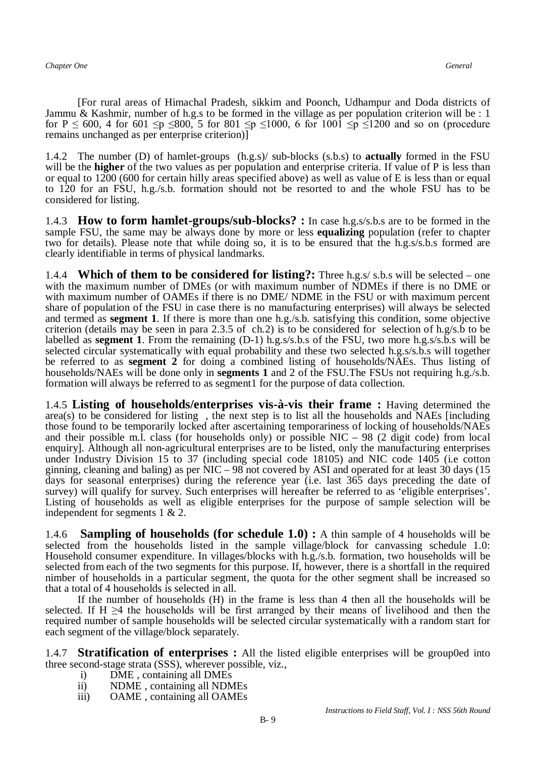*Chapter One General*

[For rural areas of Himachal Pradesh, sikkim and Poonch, Udhampur and Doda districts of Jammu & Kashmir, number of h.g.s to be formed in the village as per population criterion will be : 1 for P  $\leq$  600, 4 for 601  $\leq p \leq 800$ , 5 for 801  $\leq p \leq 1000$ , 6 for 1001  $\leq p \leq 1200$  and so on (procedure remains unchanged as per enterprise criterion)]

1.4.2 The number (D) of hamlet-groups (h.g.s)/ sub-blocks (s.b.s) to **actually** formed in the FSU will be the **higher** of the two values as per population and enterprise criteria. If value of P is less than or equal to 1200 (600 for certain hilly areas specified above) as well as value of E is less than or equal to 120 for an FSU, h.g./s.b. formation should not be resorted to and the whole FSU has to be considered for listing.

1.4.3 **How to form hamlet-groups/sub-blocks? :** In case h.g.s/s.b.s are to be formed in the sample FSU, the same may be always done by more or less **equalizing** population (refer to chapter two for details). Please note that while doing so, it is to be ensured that the h.g.s/s.b.s formed are clearly identifiable in terms of physical landmarks.

1.4.4 **Which of them to be considered for listing?:** Three h.g.s/ s.b.s will be selected – one with the maximum number of DMEs (or with maximum number of NDMEs if there is no DME or with maximum number of OAMEs if there is no DME/ NDME in the FSU or with maximum percent share of population of the FSU in case there is no manufacturing enterprises) will always be selected and termed as **segment 1**. If there is more than one h.g./s.b. satisfying this condition, some objective criterion (details may be seen in para 2.3.5 of ch.2) is to be considered for selection of  $h.g/s.b$  to be labelled as **segment 1**. From the remaining (D-1) h.g.s/s.b.s of the FSU, two more h.g.s/s.b.s will be selected circular systematically with equal probability and these two selected h.g.s/s.b.s will together be referred to as **segment 2** for doing a combined listing of households/NAEs. Thus listing of households/NAEs will be done only in **segments 1** and 2 of the FSU.The FSUs not requiring h.g./s.b. formation will always be referred to as segment1 for the purpose of data collection.

1.4.5 **Listing of households/enterprises vis-à-vis their frame :** Having determined the  $area(s)$  to be considered for listing, the next step is to list all the households and NAEs [including] those found to be temporarily locked after ascertaining temporariness of locking of households/NAEs and their possible m.l. class (for households only) or possible  $NIC - 98$  (2 digit code) from local enquiry]. Although all non-agricultural enterprises are to be listed, only the manufacturing enterprises under Industry Division 15 to 37 (including special code 18105) and NIC code 1405 (i.e cotton ginning, cleaning and baling) as per NIC – 98 not covered by ASI and operated for at least 30 days (15 days for seasonal enterprises) during the reference year (i.e. last 365 days preceding the date of survey) will qualify for survey. Such enterprises will hereafter be referred to as 'eligible enterprises'. Listing of households as well as eligible enterprises for the purpose of sample selection will be independent for segments 1 & 2.

1.4.6 **Sampling of households (for schedule 1.0) :** A thin sample of 4 households will be selected from the households listed in the sample village/block for canvassing schedule 1.0: Household consumer expenditure. In villages/blocks with h.g./s.b. formation, two households will be selected from each of the two segments for this purpose. If, however, there is a shortfall in the required nimber of households in a particular segment, the quota for the other segment shall be increased so that a total of 4 households is selected in all.

If the number of households (H) in the frame is less than 4 then all the households will be selected. If H  $\geq$ 4 the households will be first arranged by their means of livelihood and then the required number of sample households will be selected circular systematically with a random start for each segment of the village/block separately.

1.4.7 **Stratification of enterprises :** All the listed eligible enterprises will be group0ed into three second-stage strata (SSS), wherever possible, viz.,<br>i) DME, containing all DMEs

- i) DME, containing all DMEs<br>ii) NDME, containing all NDM
- ii) NDME, containing all NDMEs<br>iii) OAME, containing all OAMEs
- OAME, containing all OAMEs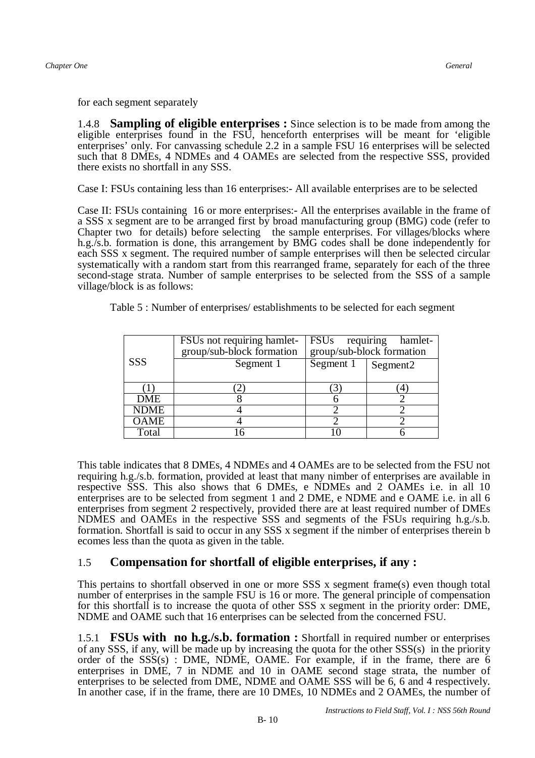for each segment separately

1.4.8 **Sampling of eligible enterprises :** Since selection is to be made from among the eligible enterprises found in the FSU, henceforth enterprises will be meant for 'eligible enterprises' only. For canvassing schedule 2.2 in a sample FSU 16 enterprises will be selected such that 8 DMEs, 4 NDMEs and 4 OAMEs are selected from the respective SSS, provided there exists no shortfall in any SSS.

Case I: FSUs containing less than 16 enterprises:- All available enterprises are to be selected

Case II: FSUs containing 16 or more enterprises:- All the enterprises available in the frame of a SSS x segment are to be arranged first by broad manufacturing group (BMG) code (refer to Chapter two for details) before selecting the sample enterprises. For villages/blocks where h.g./s.b. formation is done, this arrangement by BMG codes shall be done independently for each SSS x segment. The required number of sample enterprises will then be selected circular systematically with a random start from this rearranged frame, separately for each of the three second-stage strata. Number of sample enterprises to be selected from the SSS of a sample village/block is as follows:

Table 5 : Number of enterprises/ establishments to be selected for each segment

|             | FSUs not requiring hamlet-<br>group/sub-block formation |           | FSUs requiring hamlet-<br>group/sub-block formation |
|-------------|---------------------------------------------------------|-----------|-----------------------------------------------------|
| <b>SSS</b>  | Segment 1                                               | Segment 1 | Segment <sub>2</sub>                                |
|             |                                                         |           |                                                     |
| <b>DME</b>  |                                                         |           |                                                     |
| <b>NDME</b> |                                                         |           |                                                     |
| <b>OAME</b> |                                                         |           |                                                     |
| Total       |                                                         |           |                                                     |

This table indicates that 8 DMEs, 4 NDMEs and 4 OAMEs are to be selected from the FSU not requiring h.g./s.b. formation, provided at least that many nimber of enterprises are available in respective SSS. This also shows that 6 DMEs, e NDMEs and 2 OAMEs i.e. in all 10 enterprises are to be selected from segment 1 and 2 DME, e NDME and e OAME i.e. in all 6 enterprises from segment 2 respectively, provided there are at least required number of DMEs NDMES and OAMEs in the respective SSS and segments of the FSUs requiring h.g./s.b. formation. Shortfall is said to occur in any SSS x segment if the nimber of enterprises therein b ecomes less than the quota as given in the table.

## 1.5 **Compensation for shortfall of eligible enterprises, if any :**

This pertains to shortfall observed in one or more SSS x segment frame(s) even though total number of enterprises in the sample FSU is 16 or more. The general principle of compensation for this shortfall is to increase the quota of other SSS x segment in the priority order: DME, NDME and OAME such that 16 enterprises can be selected from the concerned FSU.

1.5.1 **FSUs with no h.g./s.b. formation :** Shortfall in required number or enterprises of any SSS, if any, will be made up by increasing the quota for the other SSS(s) in the priority order of the  $SSS(s)$ : DME, NDME, OAME. For example, if in the frame, there are 6 enterprises in DME, 7 in NDME and 10 in OAME second stage strata, the number of enterprises to be selected from DME, NDME and OAME SSS will be 6, 6 and 4 respectively. In another case, if in the frame, there are 10 DMEs, 10 NDMEs and 2 OAMEs, the number of